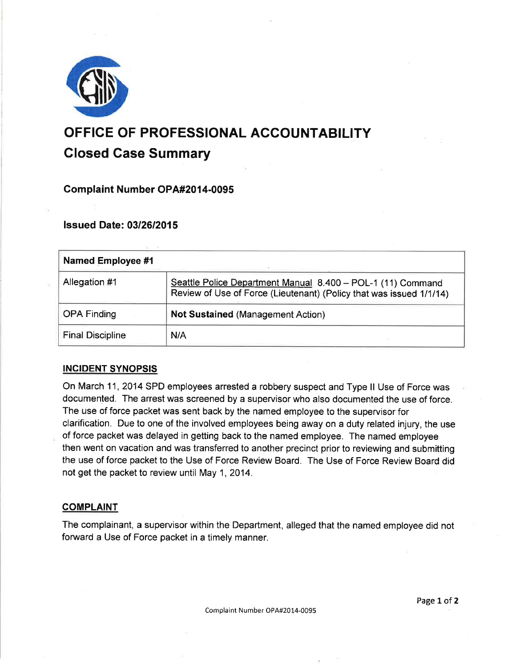

# OFFICE OF PROFESSIONAL AGCOUNTABILITY Closed Gase Summary

# Complaint Number OPA#2014-0095

# lssued Date: 0312612015

| Named Employee #1       |                                                                                                                                    |
|-------------------------|------------------------------------------------------------------------------------------------------------------------------------|
| Allegation #1           | Seattle Police Department Manual 8.400 - POL-1 (11) Command<br>Review of Use of Force (Lieutenant) (Policy that was issued 1/1/14) |
| <b>OPA Finding</b>      | <b>Not Sustained (Management Action)</b>                                                                                           |
| <b>Final Discipline</b> | N/A                                                                                                                                |

# INCIDENT SYNOPSIS

On March 11, 2014 SPD employees arrested a robbery suspect and Type ll Use of Force was documented. The arrest was screened by a supervisor who also documented the use of force. The use of force packet was sent back by the named employee to the supervisor for clarification. Due to one of the involved employees being away on a duty related injury, the use of force packet was delayed in getting back to the named employee. The named employee then went on vacation and was transferred to another precinct prior to reviewing and submitting the use of force packet to the Use of Force Review Board. The Use of Force Review Board did not get the packet to review until May 1, 2014.

## **COMPLAINT**

The complainant, a supervisor within the Department, alleged that the named employee did not forward a Use of Force packet in a timely manner.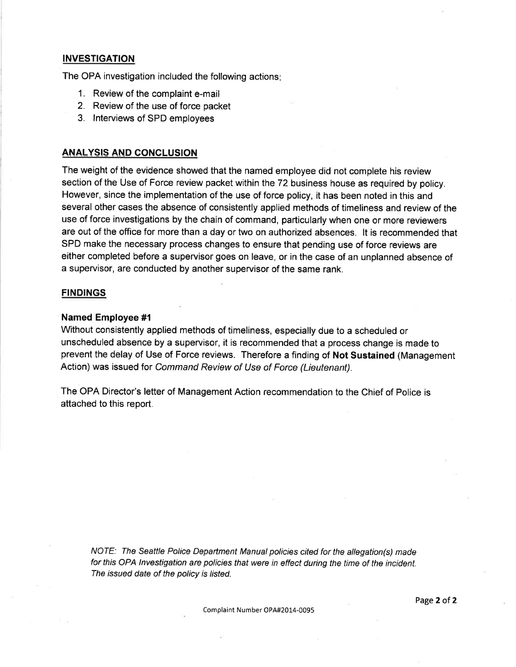## **INVESTIGATION**

The OPA investigation included the following actions

- 1. Review of the complaint e-mail
- 2. Review of the use of force packet
- 3. lnterviews of SPD employees

#### ANALYSIS AND CONCLUSION

The weight of the evidence showed that the named employee did not complete his review section of the Use of Force review packet within the 72 business house as required by policy. However, since the implementation of the use of force policy, it has been noted in this and several other cases the absence of consistently applied methods of timeliness and review of the use of force investigations by the chain of command, particularly when one or more reviewers are out of the office for more than a day or two on authorized absences. lt is recommended that SPD make the necessary process changes to ensure that pending use of force reviews are either completed before a supervisor goes on leave, or in the case of an unplanned absence of a supervisor, are conducted by another supervisor of the same rank.

#### FINDINGS

#### Named Employee #l

Without consistently applied methods of timeliness, especially due to a scheduled or unscheduled absence by a supervisor, it is recommended that a process change is made to prevent the delay of Use of Force reviews. Therefore a finding of Not Sustained (Management Action) was issued for Command Review of Use of Force (Lieutenant).

The OPA Director's letter of Management Action recommendation to the Chief of Police is attached to this report.

NOTE: The Seattle Police Depariment Manual policies cited for the allegation(s) made for this OPA lnvestigation are policies that were in effect during the time of the incident. The issued date of the policy is listed.

Complaint Number OPA#2014-0095